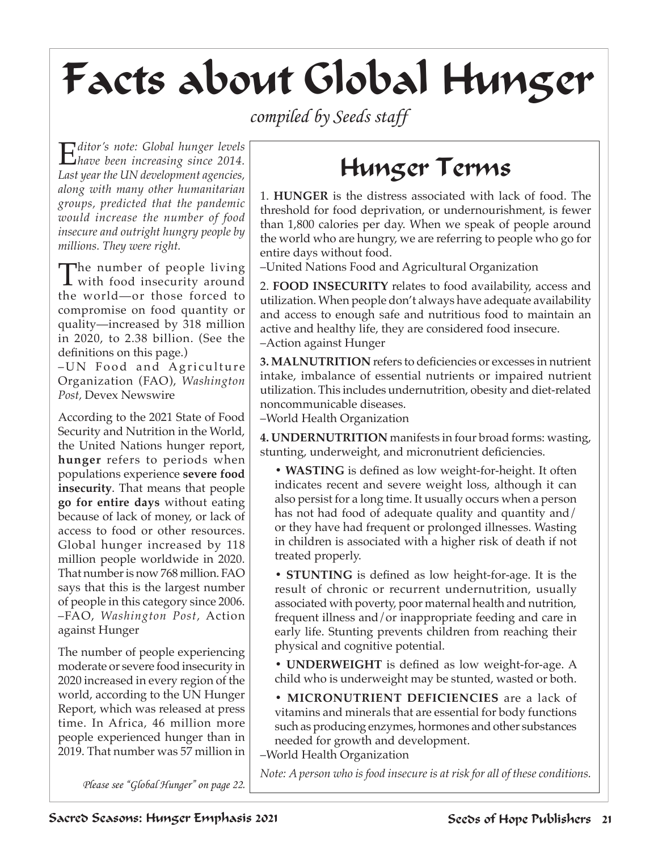## Facts about Global Hunger

*compiled by Seeds staff*

E*ditor's note: Global hunger levels have been increasing since 2014. Last year the UN development agencies, along with many other humanitarian groups, predicted that the pandemic would increase the number of food insecure and outright hungry people by millions. They were right.* 

The number of people living  $\bf{l}$  with food insecurity around the world—or those forced to compromise on food quantity or quality—increased by 318 million in 2020, to 2.38 billion. (See the definitions on this page.)

-UN Food and Agriculture Organization (FAO), *Washington Post,* Devex Newswire

According to the 2021 State of Food Security and Nutrition in the World, the United Nations hunger report, **hunger** refers to periods when populations experience **severe food insecurity**. That means that people **go for entire days** without eating because of lack of money, or lack of access to food or other resources. Global hunger increased by 118 million people worldwide in 2020. That number is now 768 million. FAO says that this is the largest number of people in this category since 2006. –FAO, *Washington Post,* Action against Hunger

The number of people experiencing moderate or severe food insecurity in 2020 increased in every region of the world, according to the UN Hunger Report, which was released at press time. In Africa, 46 million more people experienced hunger than in 2019. That number was 57 million in

## Hunger Terms

1. **HUNGER** is the distress associated with lack of food. The threshold for food deprivation, or undernourishment, is fewer than 1,800 calories per day. When we speak of people around the world who are hungry, we are referring to people who go for entire days without food.

–United Nations Food and Agricultural Organization

2. **FOOD INSECURITY** relates to food availability, access and utilization. When people don't always have adequate availability and access to enough safe and nutritious food to maintain an active and healthy life, they are considered food insecure. –Action against Hunger

**3. MALNUTRITION** refers to deficiencies or excesses in nutrient intake, imbalance of essential nutrients or impaired nutrient utilization. This includes undernutrition, obesity and diet-related noncommunicable diseases.

–World Health Organization

**4. UNDERNUTRITION** manifests in four broad forms: wasting, stunting, underweight, and micronutrient deficiencies.

**• WASTING** is defined as low weight-for-height. It often indicates recent and severe weight loss, although it can also persist for a long time. It usually occurs when a person has not had food of adequate quality and quantity and/ or they have had frequent or prolonged illnesses. Wasting in children is associated with a higher risk of death if not treated properly.

**• STUNTING** is defined as low height-for-age. It is the result of chronic or recurrent undernutrition, usually associated with poverty, poor maternal health and nutrition, frequent illness and/or inappropriate feeding and care in early life. Stunting prevents children from reaching their physical and cognitive potential.

**• UNDERWEIGHT** is defined as low weight-for-age. A child who is underweight may be stunted, wasted or both.

**• MICRONUTRIENT DEFICIENCIES** are a lack of vitamins and minerals that are essential for body functions such as producing enzymes, hormones and other substances needed for growth and development.

–World Health Organization

*Note: A person who is food insecure is at risk for all of these conditions.*

*Please see "Global Hunger" on page 22.*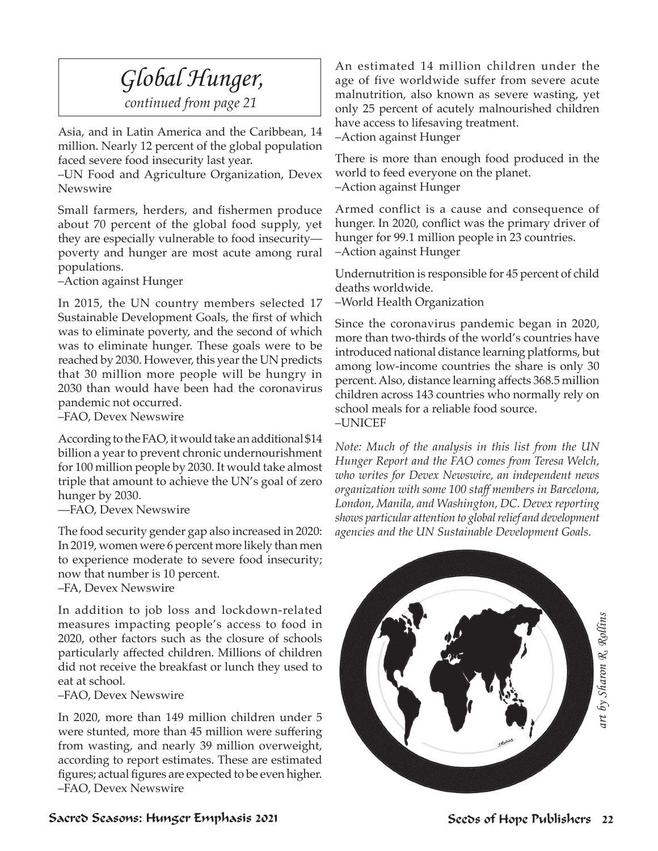### *Global Hunger,*

*continued from page 21*

Asia, and in Latin America and the Caribbean, 14 million. Nearly 12 percent of the global population faced severe food insecurity last year.

–UN Food and Agriculture Organization, Devex Newswire

Small farmers, herders, and fishermen produce about 70 percent of the global food supply, yet they are especially vulnerable to food insecurity poverty and hunger are most acute among rural populations.

–Action against Hunger

In 2015, the UN country members selected 17 Sustainable Development Goals, the first of which was to eliminate poverty, and the second of which was to eliminate hunger. These goals were to be reached by 2030. However, this year the UN predicts that 30 million more people will be hungry in 2030 than would have been had the coronavirus pandemic not occurred.

–FAO, Devex Newswire

According to the FAO, it would take an additional \$14 billion a year to prevent chronic undernourishment for 100 million people by 2030. It would take almost triple that amount to achieve the UN's goal of zero hunger by 2030.

––FAO, Devex Newswire

The food security gender gap also increased in 2020: In 2019, women were 6 percent more likely than men to experience moderate to severe food insecurity; now that number is 10 percent. –FA, Devex Newswire

In addition to job loss and lockdown-related measures impacting people's access to food in 2020, other factors such as the closure of schools particularly affected children. Millions of children did not receive the breakfast or lunch they used to eat at school.

–FAO, Devex Newswire

In 2020, more than 149 million children under 5 were stunted, more than 45 million were suffering from wasting, and nearly 39 million overweight, according to report estimates. These are estimated figures; actual figures are expected to be even higher. –FAO, Devex Newswire

An estimated 14 million children under the age of five worldwide suffer from severe acute malnutrition, also known as severe wasting, yet only 25 percent of acutely malnourished children have access to lifesaving treatment.

–Action against Hunger

There is more than enough food produced in the world to feed everyone on the planet. –Action against Hunger

Armed conflict is a cause and consequence of hunger. In 2020, conflict was the primary driver of hunger for 99.1 million people in 23 countries. –Action against Hunger

Undernutrition is responsible for 45 percent of child deaths worldwide.

–World Health Organization

Since the coronavirus pandemic began in 2020, more than two-thirds of the world's countries have introduced national distance learning platforms, but among low-income countries the share is only 30 percent. Also, distance learning affects 368.5 million children across 143 countries who normally rely on school meals for a reliable food source. –UNICEF

*Note: Much of the analysis in this list from the UN Hunger Report and the FAO comes from Teresa Welch, who writes for Devex Newswire, an independent news organization with some 100 staff members in Barcelona, London, Manila, and Washington, DC. Devex reporting shows particular attention to global relief and development agencies and the UN Sustainable Development Goals.* 



Sacred Seasons: Hunger Emphasis 2021 Seeds of Hope Publishers 22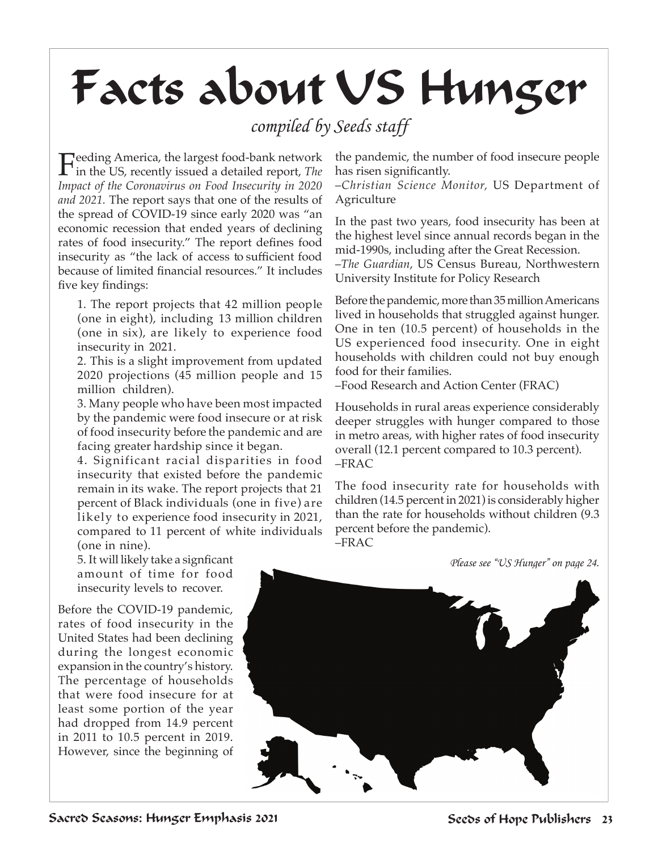# Facts about US Hunger

#### *compiled by Seeds staff*

Feeding America, the largest food-bank network<br>in the US, recently issued a detailed report, *The*<br>*Inneed of the Commences on Food Inneemity in* 2020. *Impact of the Coronavirus on Food Insecurity in 2020 and 2021.* The report says that one of the results of the spread of COVID-19 since early 2020 was "an economic recession that ended years of declining rates of food insecurity." The report defines food insecurity as "the lack of access to sufficient food because of limited financial resources." It includes five key findings:

1. The report projects that 42 million people (one in eight), including 13 million children (one in six), are likely to experience food insecurity in 2021.

2. This is a slight improvement from updated 2020 projections (45 million people and 15 million children).

3. Many people who have been most impacted by the pandemic were food insecure or at risk of food insecurity before the pandemic and are facing greater hardship since it began.

4. Significant racial disparities in food insecurity that existed before the pandemic remain in its wake. The report projects that 21 percent of Black individuals (one in five) are likely to experience food insecurity in 2021, compared to 11 percent of white individuals (one in nine).

5. It will likely take a signficant amount of time for food insecurity levels to recover.

Before the COVID-19 pandemic, rates of food insecurity in the United States had been declining during the longest economic expansion in the country's history. The percentage of households that were food insecure for at least some portion of the year had dropped from 14.9 percent in 2011 to 10.5 percent in 2019. However, since the beginning of

the pandemic, the number of food insecure people has risen significantly.

–*Christian Science Monitor,* US Department of Agriculture

In the past two years, food insecurity has been at the highest level since annual records began in the mid-1990s, including after the Great Recession.

–*The Guardian*, US Census Bureau, Northwestern University Institute for Policy Research

Before the pandemic, more than 35 million Americans lived in households that struggled against hunger. One in ten (10.5 percent) of households in the US experienced food insecurity. One in eight households with children could not buy enough food for their families.

–Food Research and Action Center (FRAC)

Households in rural areas experience considerably deeper struggles with hunger compared to those in metro areas, with higher rates of food insecurity overall (12.1 percent compared to 10.3 percent). –FRAC

The food insecurity rate for households with children (14.5 percent in 2021) is considerably higher than the rate for households without children (9.3 percent before the pandemic). –FRAC

*Please see "US Hunger" on page 24.*